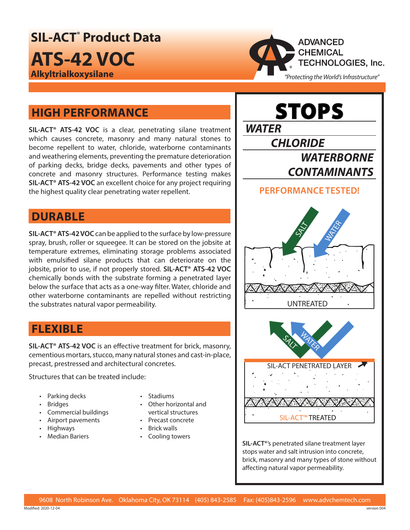**SIL‑ACT® Product Data ATS‑42 VOC Alkyltrialkoxysilane**



# **HIGH PERFORMANCE**

**SIL‑ACT® ATS‑42 VOC** is a clear, penetrating silane treatment which causes concrete, masonry and many natural stones to become repellent to water, chloride, waterborne contaminants and weathering elements, preventing the premature deterioration of parking decks, bridge decks, pavements and other types of concrete and masonry structures. Performance testing makes **SIL‑ACT® ATS‑42 VOC** an excellent choice for any project requiring the highest quality clear penetrating water repellent.

### **DURABLE**

**SIL‑ACT® ATS‑42 VOC** can be applied to the surface by low-pressure spray, brush, roller or squeegee. It can be stored on the jobsite at temperature extremes, eliminating storage problems associated with emulsified silane products that can deteriorate on the jobsite, prior to use, if not properly stored. **SIL‑ACT® ATS‑42 VOC** chemically bonds with the substrate forming a penetrated layer below the surface that acts as a one-way filter. Water, chloride and other waterborne contaminants are repelled without restricting the substrates natural vapor permeability.

## **FLEXIBLE**

**SIL‑ACT® ATS‑42 VOC** is an effective treatment for brick, masonry, cementious mortars, stucco, many natural stones and cast-in-place, precast, prestressed and architectural concretes.

Structures that can be treated include:

- Parking decks
- Bridges
- Commercial buildings
- Airport pavements
- Highways
- Median Bariers
- Stadiums
- Other horizontal and vertical structures
- Precast concrete
- Brick walls
- Cooling towers



**SIL‑ACT®**'s penetrated silane treatment layer stops water and salt intrusion into concrete, brick, masonry and many types of stone without affecting natural vapor permeability.